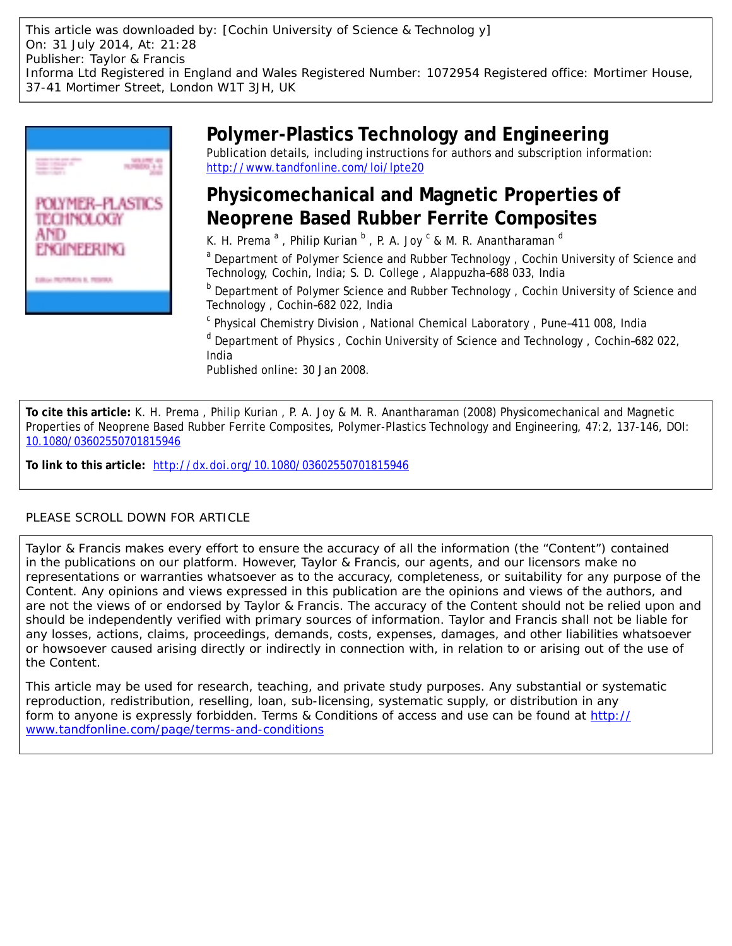This article was downloaded by: [Cochin University of Science & Technolog y] On: 31 July 2014, At: 21:28 Publisher: Taylor & Francis Informa Ltd Registered in England and Wales Registered Number: 1072954 Registered office: Mortimer House, 37-41 Mortimer Street, London W1T 3JH, UK



## **Polymer-Plastics Technology and Engineering**

Publication details, including instructions for authors and subscription information: <http://www.tandfonline.com/loi/lpte20>

# **Physicomechanical and Magnetic Properties of Neoprene Based Rubber Ferrite Composites**

K. H. Prema  $^{\rm a}$  , Philip Kurian  $^{\rm b}$  , P. A. Joy  $^{\rm c}$  & M. R. Anantharaman  $^{\rm d}$ 

<sup>a</sup> Department of Polymer Science and Rubber Technology, Cochin University of Science and Technology, Cochin, India; S. D. College , Alappuzha–688 033, India

**b** Department of Polymer Science and Rubber Technology, Cochin University of Science and Technology , Cochin–682 022, India

<sup>c</sup> Physical Chemistry Division, National Chemical Laboratory, Pune-411 008, India

<sup>d</sup> Department of Physics, Cochin University of Science and Technology, Cochin-682 022, India

Published online: 30 Jan 2008.

**To cite this article:** K. H. Prema , Philip Kurian , P. A. Joy & M. R. Anantharaman (2008) Physicomechanical and Magnetic Properties of Neoprene Based Rubber Ferrite Composites, Polymer-Plastics Technology and Engineering, 47:2, 137-146, DOI: [10.1080/03602550701815946](http://www.tandfonline.com/action/showCitFormats?doi=10.1080/03602550701815946)

**To link to this article:** <http://dx.doi.org/10.1080/03602550701815946>

## PLEASE SCROLL DOWN FOR ARTICLE

Taylor & Francis makes every effort to ensure the accuracy of all the information (the "Content") contained in the publications on our platform. However, Taylor & Francis, our agents, and our licensors make no representations or warranties whatsoever as to the accuracy, completeness, or suitability for any purpose of the Content. Any opinions and views expressed in this publication are the opinions and views of the authors, and are not the views of or endorsed by Taylor & Francis. The accuracy of the Content should not be relied upon and should be independently verified with primary sources of information. Taylor and Francis shall not be liable for any losses, actions, claims, proceedings, demands, costs, expenses, damages, and other liabilities whatsoever or howsoever caused arising directly or indirectly in connection with, in relation to or arising out of the use of the Content.

This article may be used for research, teaching, and private study purposes. Any substantial or systematic reproduction, redistribution, reselling, loan, sub-licensing, systematic supply, or distribution in any form to anyone is expressly forbidden. Terms & Conditions of access and use can be found at [http://](http://www.tandfonline.com/page/terms-and-conditions) [www.tandfonline.com/page/terms-and-conditions](http://www.tandfonline.com/page/terms-and-conditions)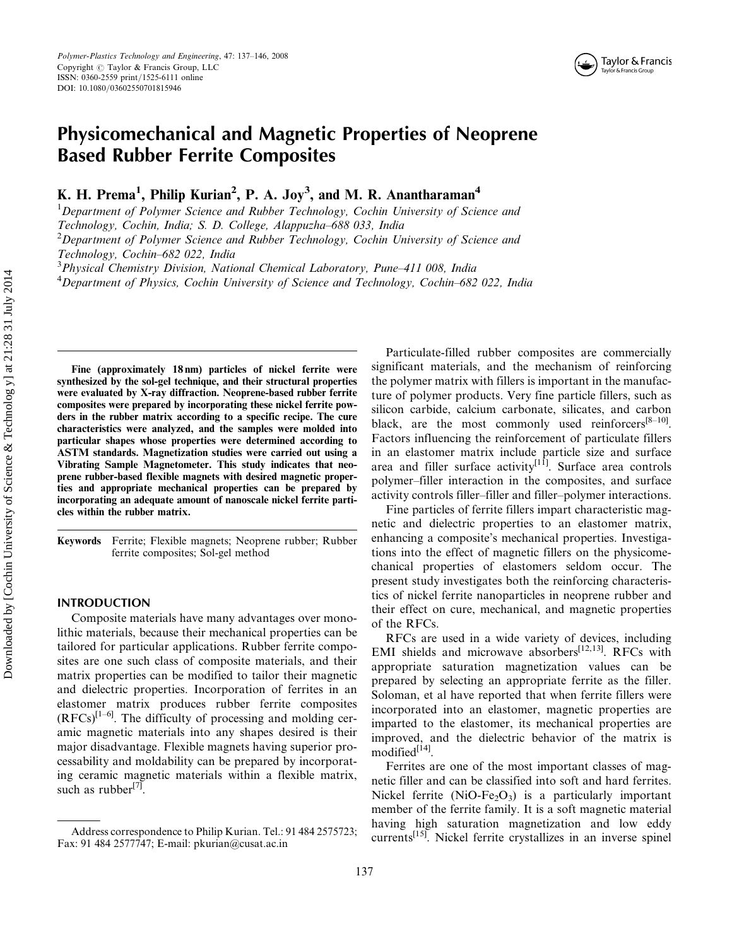

## Physicomechanical and Magnetic Properties of Neoprene Based Rubber Ferrite Composites

K. H. Prema<sup>1</sup>, Philip Kurian<sup>2</sup>, P. A. Joy<sup>3</sup>, and M. R. Anantharaman<sup>4</sup>

<sup>1</sup>Department of Polymer Science and Rubber Technology, Cochin University of Science and Technology, Cochin, India; S. D. College, Alappuzha–688 033, India  $^{2}$ Department of Polymer Science and Rubber Technology, Cochin University of Science and Technology, Cochin–682 022, India <sup>3</sup>Physical Chemistry Division, National Chemical Laboratory, Pune-411 008, India

<sup>4</sup>Department of Physics, Cochin University of Science and Technology, Cochin-682 022, India

Fine (approximately 18 nm) particles of nickel ferrite were synthesized by the sol-gel technique, and their structural properties were evaluated by X-ray diffraction. Neoprene-based rubber ferrite composites were prepared by incorporating these nickel ferrite powders in the rubber matrix according to a specific recipe. The cure characteristics were analyzed, and the samples were molded into particular shapes whose properties were determined according to ASTM standards. Magnetization studies were carried out using a Vibrating Sample Magnetometer. This study indicates that neoprene rubber-based flexible magnets with desired magnetic properties and appropriate mechanical properties can be prepared by incorporating an adequate amount of nanoscale nickel ferrite particles within the rubber matrix.

Keywords Ferrite; Flexible magnets; Neoprene rubber; Rubber ferrite composites; Sol-gel method

#### INTRODUCTION

Composite materials have many advantages over monolithic materials, because their mechanical properties can be tailored for particular applications. Rubber ferrite composites are one such class of composite materials, and their matrix properties can be modified to tailor their magnetic and dielectric properties. Incorporation of ferrites in an elastomer matrix produces rubber ferrite composites  $(RFCs)^{[1-6]}$ . The difficulty of processing and molding ceramic magnetic materials into any shapes desired is their major disadvantage. Flexible magnets having superior processability and moldability can be prepared by incorporating ceramic magnetic materials within a flexible matrix, such as rubber $^{[7]}$ .

Particulate-filled rubber composites are commercially significant materials, and the mechanism of reinforcing the polymer matrix with fillers is important in the manufacture of polymer products. Very fine particle fillers, such as silicon carbide, calcium carbonate, silicates, and carbon black, are the most commonly used reinforcers<sup>[8-10]</sup>. Factors influencing the reinforcement of particulate fillers in an elastomer matrix include particle size and surface area and filler surface activity $[11]$ . Surface area controls polymer–filler interaction in the composites, and surface activity controls filler–filler and filler–polymer interactions.

Fine particles of ferrite fillers impart characteristic magnetic and dielectric properties to an elastomer matrix, enhancing a composite's mechanical properties. Investigations into the effect of magnetic fillers on the physicomechanical properties of elastomers seldom occur. The present study investigates both the reinforcing characteristics of nickel ferrite nanoparticles in neoprene rubber and their effect on cure, mechanical, and magnetic properties of the RFCs.

RFCs are used in a wide variety of devices, including EMI shields and microwave absorbers<sup>[12,13]</sup>. RFCs with appropriate saturation magnetization values can be prepared by selecting an appropriate ferrite as the filler. Soloman, et al have reported that when ferrite fillers were incorporated into an elastomer, magnetic properties are imparted to the elastomer, its mechanical properties are improved, and the dielectric behavior of the matrix is modified $[14]$ .

Ferrites are one of the most important classes of magnetic filler and can be classified into soft and hard ferrites. Nickel ferrite  $(NiO-Fe<sub>2</sub>O<sub>3</sub>)$  is a particularly important member of the ferrite family. It is a soft magnetic material having high saturation magnetization and low eddy Address correspondence to Philip Kurian. Tel.: 91 484 2575723; currents<sup>[15]</sup>. Nickel ferrite crystallizes in an inverse spinel

Fax: 91 484 2577747; E-mail: pkurian@cusat.ac.in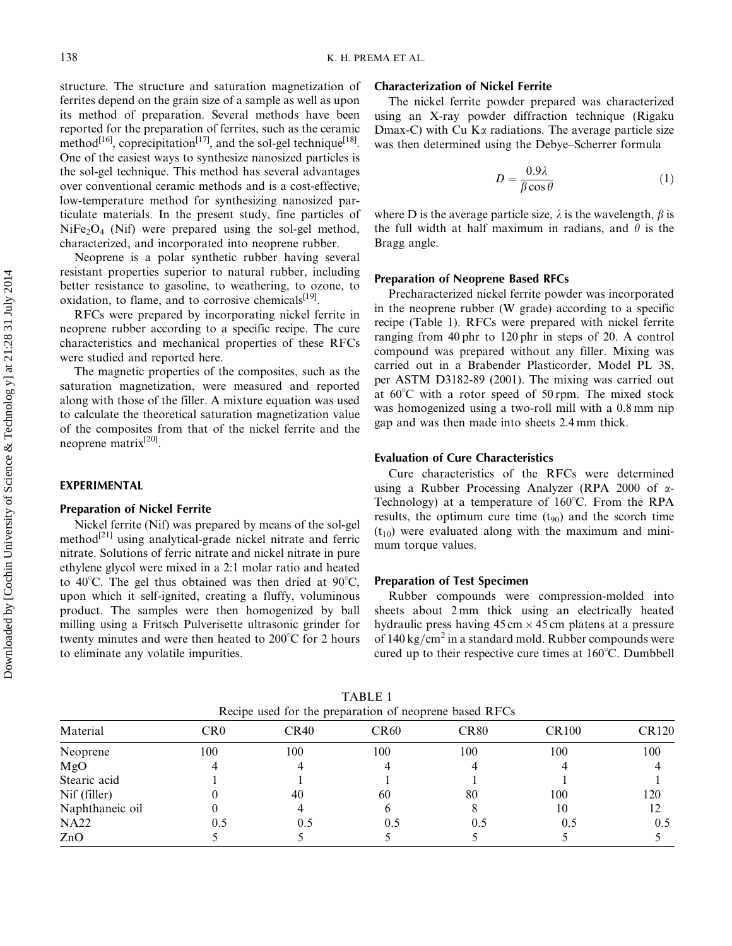structure. The structure and saturation magnetization of ferrites depend on the grain size of a sample as well as upon its method of preparation. Several methods have been reported for the preparation of ferrites, such as the ceramic method<sup>[16]</sup>, coprecipitation<sup>[17]</sup>, and the sol-gel technique<sup>[18]</sup>. One of the easiest ways to synthesize nanosized particles is the sol-gel technique. This method has several advantages over conventional ceramic methods and is a cost-effective, low-temperature method for synthesizing nanosized particulate materials. In the present study, fine particles of  $NiFe<sub>2</sub>O<sub>4</sub>$  (Nif) were prepared using the sol-gel method, characterized, and incorporated into neoprene rubber.

Neoprene is a polar synthetic rubber having several resistant properties superior to natural rubber, including better resistance to gasoline, to weathering, to ozone, to oxidation, to flame, and to corrosive chemicals $[19]$ .

RFCs were prepared by incorporating nickel ferrite in neoprene rubber according to a specific recipe. The cure characteristics and mechanical properties of these RFCs were studied and reported here.

The magnetic properties of the composites, such as the saturation magnetization, were measured and reported along with those of the filler. A mixture equation was used to calculate the theoretical saturation magnetization value of the composites from that of the nickel ferrite and the neoprene matrix[20].

#### EXPERIMENTAL

#### Preparation of Nickel Ferrite

Nickel ferrite (Nif) was prepared by means of the sol-gel method<sup>[21]</sup> using analytical-grade nickel nitrate and ferric nitrate. Solutions of ferric nitrate and nickel nitrate in pure ethylene glycol were mixed in a 2:1 molar ratio and heated to 40 C. The gel thus obtained was then dried at 90 C, upon which it self-ignited, creating a fluffy, voluminous product. The samples were then homogenized by ball milling using a Fritsch Pulverisette ultrasonic grinder for twenty minutes and were then heated to 200 C for 2 hours to eliminate any volatile impurities.

#### Characterization of Nickel Ferrite

The nickel ferrite powder prepared was characterized using an X-ray powder diffraction technique (Rigaku Dmax-C) with Cu  $K\alpha$  radiations. The average particle size was then determined using the Debye–Scherrer formula

$$
D = \frac{0.9\lambda}{\beta \cos \theta} \tag{1}
$$

where D is the average particle size,  $\lambda$  is the wavelength,  $\beta$  is the full width at half maximum in radians, and  $\theta$  is the Bragg angle.

## Preparation of Neoprene Based RFCs

Precharacterized nickel ferrite powder was incorporated in the neoprene rubber (W grade) according to a specific recipe (Table 1). RFCs were prepared with nickel ferrite ranging from 40 phr to 120 phr in steps of 20. A control compound was prepared without any filler. Mixing was carried out in a Brabender Plasticorder, Model PL 3S, per ASTM D3182-89 (2001). The mixing was carried out at 60 C with a rotor speed of 50 rpm. The mixed stock was homogenized using a two-roll mill with a 0.8 mm nip gap and was then made into sheets 2.4 mm thick.

### Evaluation of Cure Characteristics

Cure characteristics of the RFCs were determined using a Rubber Processing Analyzer (RPA 2000 of  $\alpha$ -Technology) at a temperature of 160 C. From the RPA results, the optimum cure time  $(t_{90})$  and the scorch time  $(t_{10})$  were evaluated along with the maximum and minimum torque values.

## Preparation of Test Specimen

Rubber compounds were compression-molded into sheets about 2 mm thick using an electrically heated hydraulic press having  $45 \text{ cm} \times 45 \text{ cm}$  platens at a pressure of  $140 \text{ kg/cm}^2$  in a standard mold. Rubber compounds were cured up to their respective cure times at 160 C. Dumbbell

| ---             |     |      |              |      |              |              |
|-----------------|-----|------|--------------|------|--------------|--------------|
| Material        | CR0 | CR40 | CR60         | CR80 | <b>CR100</b> | <b>CR120</b> |
| Neoprene        | 100 | 100  | 100          | 100  | 100          | 100          |
| MgO             | 4   |      |              |      |              |              |
| Stearic acid    |     |      |              |      |              |              |
| Nif (filler)    |     | 40   | 60           | 80   | 100          | 120          |
| Naphthaneic oil |     |      | <sub>0</sub> | 8    | 10           | 12           |
| <b>NA22</b>     | 0.5 | 0.5  | 0.5          | 0.5  | 0.5          | 0.5          |
| ZnO             |     |      |              |      |              |              |

TABLE 1 Recipe used for the preparation of neoprene based RFCs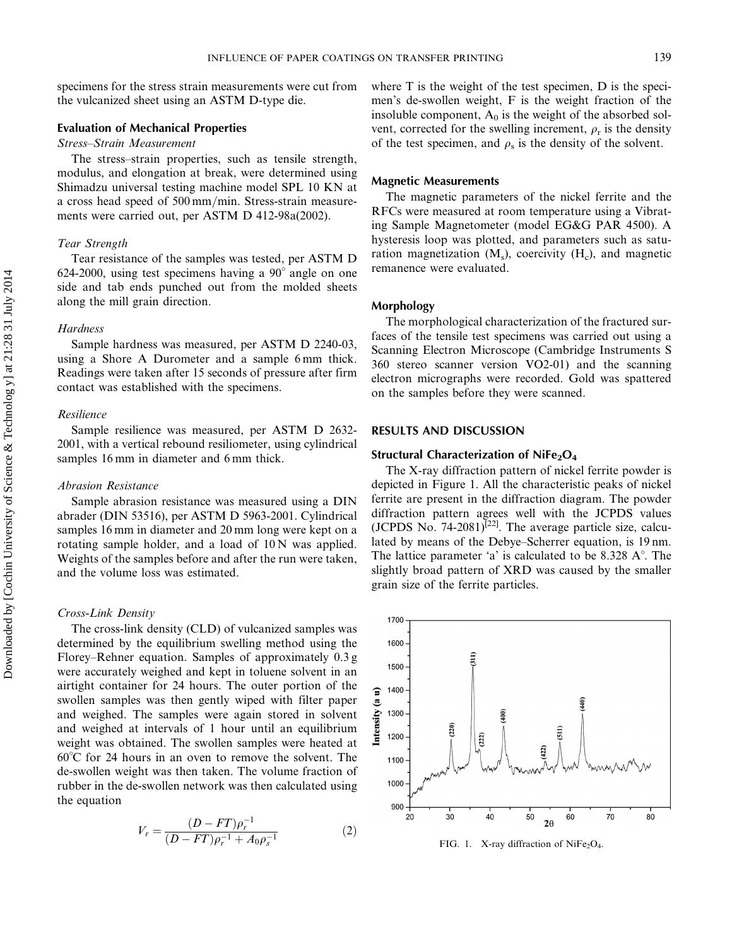specimens for the stress strain measurements were cut from the vulcanized sheet using an ASTM D-type die.

#### Evaluation of Mechanical Properties

### Stress–Strain Measurement

The stress–strain properties, such as tensile strength, modulus, and elongation at break, were determined using Shimadzu universal testing machine model SPL 10 KN at a cross head speed of 500 mm/min. Stress-strain measurements were carried out, per ASTM D 412-98a(2002).

### Tear Strength

Tear resistance of the samples was tested, per ASTM D 624-2000, using test specimens having a  $90^{\circ}$  angle on one side and tab ends punched out from the molded sheets along the mill grain direction.

#### Hardness

Sample hardness was measured, per ASTM D 2240-03, using a Shore A Durometer and a sample 6 mm thick. Readings were taken after 15 seconds of pressure after firm contact was established with the specimens.

#### Resilience

Sample resilience was measured, per ASTM D 2632- 2001, with a vertical rebound resiliometer, using cylindrical samples 16 mm in diameter and 6 mm thick.

#### Abrasion Resistance

Sample abrasion resistance was measured using a DIN abrader (DIN 53516), per ASTM D 5963-2001. Cylindrical samples 16 mm in diameter and 20 mm long were kept on a rotating sample holder, and a load of 10 N was applied. Weights of the samples before and after the run were taken, and the volume loss was estimated.

#### Cross-Link Density

The cross-link density (CLD) of vulcanized samples was determined by the equilibrium swelling method using the Florey–Rehner equation. Samples of approximately 0.3 g were accurately weighed and kept in toluene solvent in an airtight container for 24 hours. The outer portion of the swollen samples was then gently wiped with filter paper and weighed. The samples were again stored in solvent and weighed at intervals of 1 hour until an equilibrium weight was obtained. The swollen samples were heated at 60 C for 24 hours in an oven to remove the solvent. The de-swollen weight was then taken. The volume fraction of rubber in the de-swollen network was then calculated using the equation

$$
V_r = \frac{(D - FT)\rho_r^{-1}}{(D - FT)\rho_r^{-1} + A_0\rho_s^{-1}}
$$
 (2)

where T is the weight of the test specimen, D is the specimen's de-swollen weight, F is the weight fraction of the insoluble component,  $A_0$  is the weight of the absorbed solvent, corrected for the swelling increment,  $\rho_r$  is the density of the test specimen, and  $\rho_s$  is the density of the solvent.

#### Magnetic Measurements

The magnetic parameters of the nickel ferrite and the RFCs were measured at room temperature using a Vibrating Sample Magnetometer (model EG&G PAR 4500). A hysteresis loop was plotted, and parameters such as saturation magnetization  $(M_s)$ , coercivity  $(H_c)$ , and magnetic remanence were evaluated.

## Morphology

The morphological characterization of the fractured surfaces of the tensile test specimens was carried out using a Scanning Electron Microscope (Cambridge Instruments S 360 stereo scanner version VO2-01) and the scanning electron micrographs were recorded. Gold was spattered on the samples before they were scanned.

## RESULTS AND DISCUSSION

## Structural Characterization of NiFe<sub>2</sub>O<sub>4</sub>

The X-ray diffraction pattern of nickel ferrite powder is depicted in Figure 1. All the characteristic peaks of nickel ferrite are present in the diffraction diagram. The powder diffraction pattern agrees well with the JCPDS values (JCPDS No. 74-2081)<sup>[22]</sup>. The average particle size, calculated by means of the Debye–Scherrer equation, is 19 nm. The lattice parameter 'a' is calculated to be 8.328 A°. The slightly broad pattern of XRD was caused by the smaller grain size of the ferrite particles.

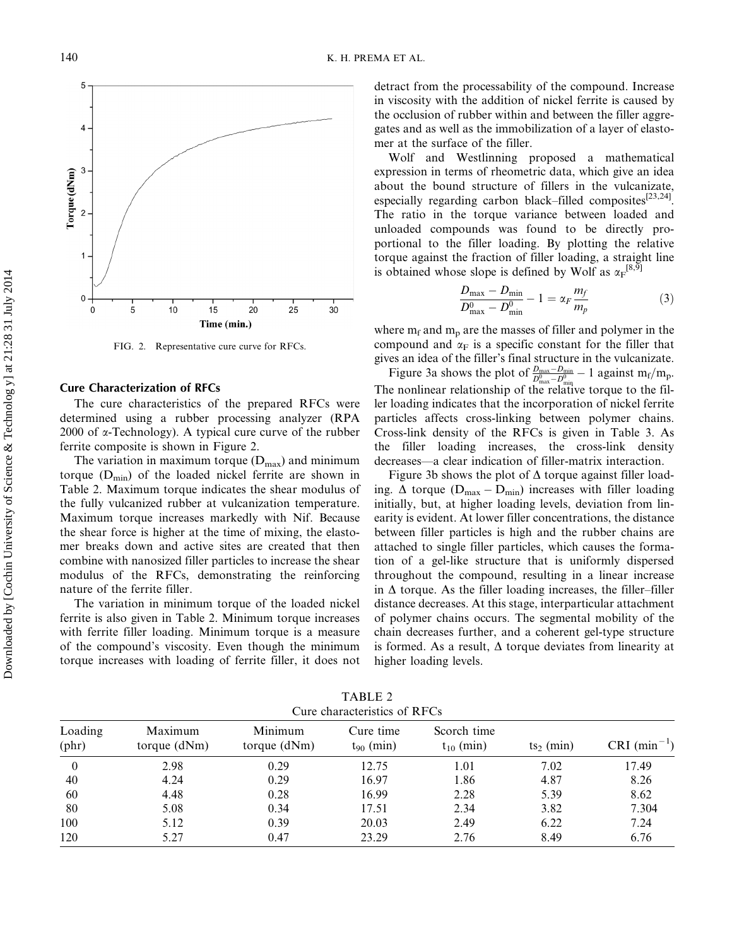

FIG. 2. Representative cure curve for RFCs.

#### Cure Characterization of RFCs

The cure characteristics of the prepared RFCs were determined using a rubber processing analyzer (RPA 2000 of  $\alpha$ -Technology). A typical cure curve of the rubber ferrite composite is shown in Figure 2.

The variation in maximum torque  $(D_{\text{max}})$  and minimum torque  $(D_{\text{min}})$  of the loaded nickel ferrite are shown in Table 2. Maximum torque indicates the shear modulus of the fully vulcanized rubber at vulcanization temperature. Maximum torque increases markedly with Nif. Because the shear force is higher at the time of mixing, the elastomer breaks down and active sites are created that then combine with nanosized filler particles to increase the shear modulus of the RFCs, demonstrating the reinforcing nature of the ferrite filler.

The variation in minimum torque of the loaded nickel ferrite is also given in Table 2. Minimum torque increases with ferrite filler loading. Minimum torque is a measure of the compound's viscosity. Even though the minimum torque increases with loading of ferrite filler, it does not detract from the processability of the compound. Increase in viscosity with the addition of nickel ferrite is caused by the occlusion of rubber within and between the filler aggregates and as well as the immobilization of a layer of elastomer at the surface of the filler.

Wolf and Westlinning proposed a mathematical expression in terms of rheometric data, which give an idea about the bound structure of fillers in the vulcanizate, especially regarding carbon black–filled composites<sup>[23,24]</sup>. The ratio in the torque variance between loaded and unloaded compounds was found to be directly proportional to the filler loading. By plotting the relative torque against the fraction of filler loading, a straight line is obtained whose slope is defined by Wolf as  $\alpha_F^{[8,9]}$ 

$$
\frac{D_{\max} - D_{\min}}{D_{\max}^0 - D_{\min}^0} - 1 = \alpha_F \frac{m_f}{m_p} \tag{3}
$$

where  $m_f$  and  $m_p$  are the masses of filler and polymer in the compound and  $\alpha_F$  is a specific constant for the filler that gives an idea of the filler's final structure in the vulcanizate.

Figure 3a shows the plot of  $\frac{D_{\text{max}}-D_{\text{min}}}{D_{\text{max}}^0-D_{\text{min}}^0}$  – 1 against m<sub>f</sub>/m<sub>p</sub>. The nonlinear relationship of the relative torque to the filler loading indicates that the incorporation of nickel ferrite particles affects cross-linking between polymer chains. Cross-link density of the RFCs is given in Table 3. As the filler loading increases, the cross-link density decreases—a clear indication of filler-matrix interaction.

Figure 3b shows the plot of  $\Delta$  torque against filler loading.  $\Delta$  torque (D<sub>max</sub> – D<sub>min</sub>) increases with filler loading initially, but, at higher loading levels, deviation from linearity is evident. At lower filler concentrations, the distance between filler particles is high and the rubber chains are attached to single filler particles, which causes the formation of a gel-like structure that is uniformly dispersed throughout the compound, resulting in a linear increase in  $\Delta$  torque. As the filler loading increases, the filler–filler distance decreases. At this stage, interparticular attachment of polymer chains occurs. The segmental mobility of the chain decreases further, and a coherent gel-type structure is formed. As a result,  $\Delta$  torque deviates from linearity at higher loading levels.

| Cure characteristics of RFCs |                           |                           |                             |                               |             |                            |
|------------------------------|---------------------------|---------------------------|-----------------------------|-------------------------------|-------------|----------------------------|
| Loading<br>$(\text{phr})$    | Maximum<br>torque $(dNm)$ | Minimum<br>torque $(dNm)$ | Cure time<br>$t_{90}$ (min) | Scorch time<br>$t_{10}$ (min) | $ts2$ (min) | $CRI$ (min <sup>-1</sup> ) |
| $\theta$                     | 2.98                      | 0.29                      | 12.75                       | 1.01                          | 7.02        | 17.49                      |
| 40                           | 4.24                      | 0.29                      | 16.97                       | 1.86                          | 4.87        | 8.26                       |
| 60                           | 4.48                      | 0.28                      | 16.99                       | 2.28                          | 5.39        | 8.62                       |
| 80                           | 5.08                      | 0.34                      | 17.51                       | 2.34                          | 3.82        | 7.304                      |
| 100                          | 5.12                      | 0.39                      | 20.03                       | 2.49                          | 6.22        | 7.24                       |
| 120                          | 5.27                      | 0.47                      | 23.29                       | 2.76                          | 8.49        | 6.76                       |

TABLE 2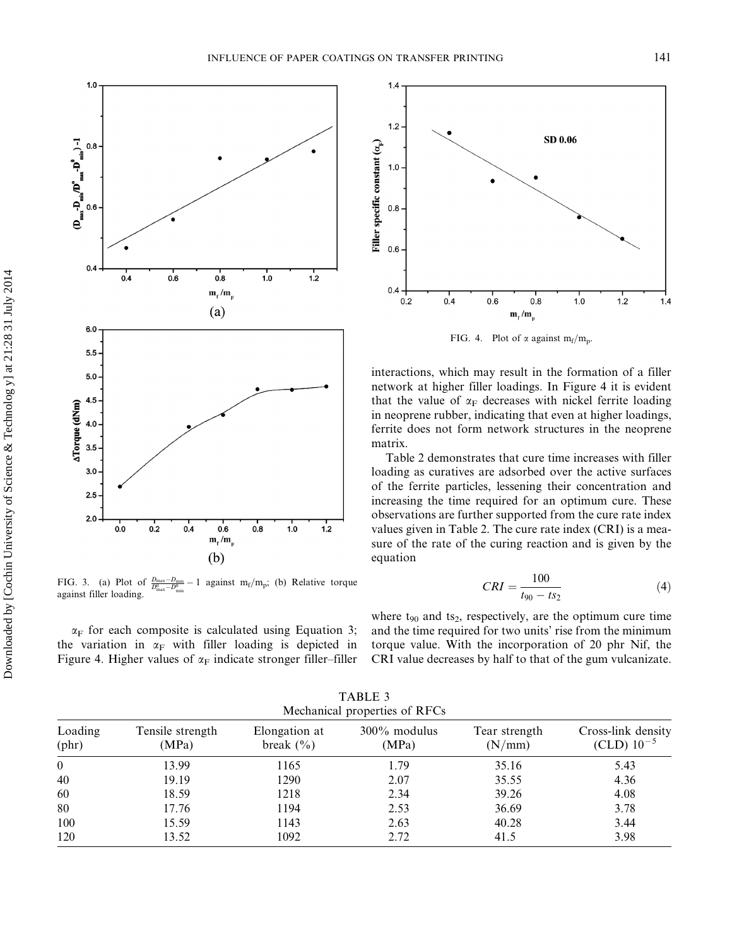

FIG. 3. (a) Plot of  $\frac{D_{\text{max}}-D_{\text{min}}}{D_{\text{max}}^0-D_{\text{min}}^0}$  $-1$  against m<sub>f</sub>/m<sub>p</sub>; (b) Relative torque against filler loading.

 $\alpha_F$  for each composite is calculated using Equation 3; the variation in  $\alpha_F$  with filler loading is depicted in Figure 4. Higher values of  $\alpha_F$  indicate stronger filler–filler



FIG. 4. Plot of  $\alpha$  against m<sub>f</sub>/m<sub>p</sub>.

interactions, which may result in the formation of a filler network at higher filler loadings. In Figure 4 it is evident that the value of  $\alpha_F$  decreases with nickel ferrite loading in neoprene rubber, indicating that even at higher loadings, ferrite does not form network structures in the neoprene matrix.

Table 2 demonstrates that cure time increases with filler loading as curatives are adsorbed over the active surfaces of the ferrite particles, lessening their concentration and increasing the time required for an optimum cure. These observations are further supported from the cure rate index values given in Table 2. The cure rate index (CRI) is a measure of the rate of the curing reaction and is given by the equation

$$
CRI = \frac{100}{t_{90} - ts_2} \tag{4}
$$

where  $t_{90}$  and  $t_{22}$ , respectively, are the optimum cure time and the time required for two units' rise from the minimum torque value. With the incorporation of 20 phr Nif, the CRI value decreases by half to that of the gum vulcanizate.

| Loading<br>$(\text{phr})$ | Tensile strength<br>(MPa) | Elongation at<br>break $(\% )$ | $300\%$ modulus<br>(MPa) | Tear strength<br>(N/mm) | Cross-link density<br>(CLD) $10^{-5}$ |
|---------------------------|---------------------------|--------------------------------|--------------------------|-------------------------|---------------------------------------|
| $\theta$                  | 13.99                     | 1165                           | 1.79                     | 35.16                   | 5.43                                  |
| 40                        | 19.19                     | 1290                           | 2.07                     | 35.55                   | 4.36                                  |
| 60                        | 18.59                     | 1218                           | 2.34                     | 39.26                   | 4.08                                  |
| 80                        | 17.76                     | 1194                           | 2.53                     | 36.69                   | 3.78                                  |
| 100                       | 15.59                     | 1143                           | 2.63                     | 40.28                   | 3.44                                  |
| 120                       | 13.52                     | 1092                           | 2.72                     | 41.5                    | 3.98                                  |

TABLE 3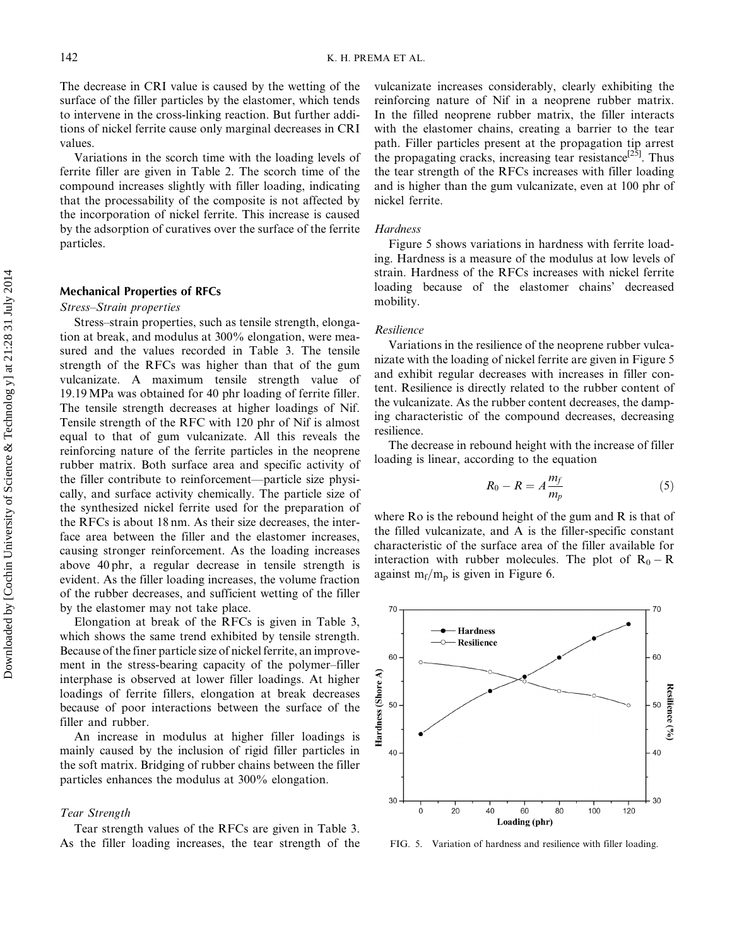The decrease in CRI value is caused by the wetting of the surface of the filler particles by the elastomer, which tends to intervene in the cross-linking reaction. But further additions of nickel ferrite cause only marginal decreases in CRI values.

Variations in the scorch time with the loading levels of ferrite filler are given in Table 2. The scorch time of the compound increases slightly with filler loading, indicating that the processability of the composite is not affected by the incorporation of nickel ferrite. This increase is caused by the adsorption of curatives over the surface of the ferrite particles.

## Mechanical Properties of RFCs

## Stress–Strain properties

Stress–strain properties, such as tensile strength, elongation at break, and modulus at 300% elongation, were measured and the values recorded in Table 3. The tensile strength of the RFCs was higher than that of the gum vulcanizate. A maximum tensile strength value of 19.19 MPa was obtained for 40 phr loading of ferrite filler. The tensile strength decreases at higher loadings of Nif. Tensile strength of the RFC with 120 phr of Nif is almost equal to that of gum vulcanizate. All this reveals the reinforcing nature of the ferrite particles in the neoprene rubber matrix. Both surface area and specific activity of the filler contribute to reinforcement—particle size physically, and surface activity chemically. The particle size of the synthesized nickel ferrite used for the preparation of the RFCs is about 18 nm. As their size decreases, the interface area between the filler and the elastomer increases, causing stronger reinforcement. As the loading increases above 40 phr, a regular decrease in tensile strength is evident. As the filler loading increases, the volume fraction of the rubber decreases, and sufficient wetting of the filler by the elastomer may not take place.

Elongation at break of the RFCs is given in Table 3, which shows the same trend exhibited by tensile strength. Because of the finer particle size of nickel ferrite, an improvement in the stress-bearing capacity of the polymer–filler interphase is observed at lower filler loadings. At higher loadings of ferrite fillers, elongation at break decreases because of poor interactions between the surface of the filler and rubber.

An increase in modulus at higher filler loadings is mainly caused by the inclusion of rigid filler particles in the soft matrix. Bridging of rubber chains between the filler particles enhances the modulus at 300% elongation.

### Tear Strength

Tear strength values of the RFCs are given in Table 3. As the filler loading increases, the tear strength of the vulcanizate increases considerably, clearly exhibiting the reinforcing nature of Nif in a neoprene rubber matrix. In the filled neoprene rubber matrix, the filler interacts with the elastomer chains, creating a barrier to the tear path. Filler particles present at the propagation tip arrest the propagating cracks, increasing tear resistance<sup>[25]</sup>. Thus the tear strength of the RFCs increases with filler loading and is higher than the gum vulcanizate, even at 100 phr of nickel ferrite.

#### **Hardness**

Figure 5 shows variations in hardness with ferrite loading. Hardness is a measure of the modulus at low levels of strain. Hardness of the RFCs increases with nickel ferrite loading because of the elastomer chains' decreased mobility.

#### Resilience

Variations in the resilience of the neoprene rubber vulcanizate with the loading of nickel ferrite are given in Figure 5 and exhibit regular decreases with increases in filler content. Resilience is directly related to the rubber content of the vulcanizate. As the rubber content decreases, the damping characteristic of the compound decreases, decreasing resilience.

The decrease in rebound height with the increase of filler loading is linear, according to the equation

$$
R_0 - R = A \frac{m_f}{m_p} \tag{5}
$$

where Ro is the rebound height of the gum and R is that of the filled vulcanizate, and A is the filler-specific constant characteristic of the surface area of the filler available for interaction with rubber molecules. The plot of  $R_0 - R$ against  $m_f/m_p$  is given in Figure 6.



FIG. 5. Variation of hardness and resilience with filler loading.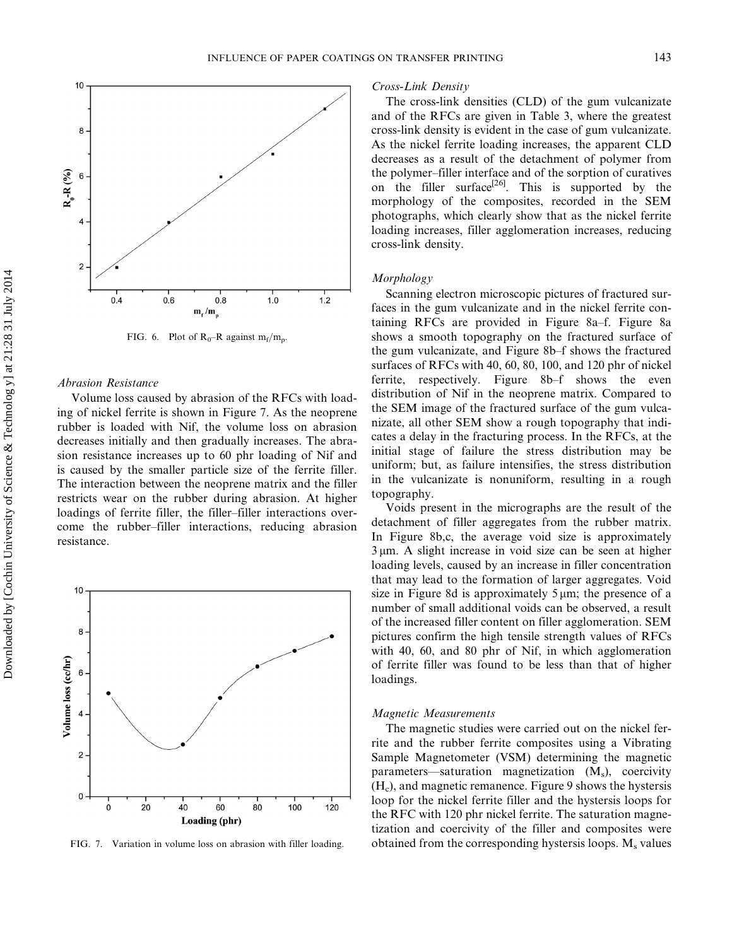

FIG. 6. Plot of  $R_0-R$  against  $m_f/m_p$ .

## Abrasion Resistance

Volume loss caused by abrasion of the RFCs with loading of nickel ferrite is shown in Figure 7. As the neoprene rubber is loaded with Nif, the volume loss on abrasion decreases initially and then gradually increases. The abrasion resistance increases up to 60 phr loading of Nif and is caused by the smaller particle size of the ferrite filler. The interaction between the neoprene matrix and the filler restricts wear on the rubber during abrasion. At higher loadings of ferrite filler, the filler–filler interactions overcome the rubber–filler interactions, reducing abrasion resistance.



FIG. 7. Variation in volume loss on abrasion with filler loading.

#### Cross-Link Density

The cross-link densities (CLD) of the gum vulcanizate and of the RFCs are given in Table 3, where the greatest cross-link density is evident in the case of gum vulcanizate. As the nickel ferrite loading increases, the apparent CLD decreases as a result of the detachment of polymer from the polymer–filler interface and of the sorption of curatives on the filler surface<sup>[26]</sup>. This is supported by the morphology of the composites, recorded in the SEM photographs, which clearly show that as the nickel ferrite loading increases, filler agglomeration increases, reducing cross-link density.

#### Morphology

Scanning electron microscopic pictures of fractured surfaces in the gum vulcanizate and in the nickel ferrite containing RFCs are provided in Figure 8a–f. Figure 8a shows a smooth topography on the fractured surface of the gum vulcanizate, and Figure 8b–f shows the fractured surfaces of RFCs with 40, 60, 80, 100, and 120 phr of nickel ferrite, respectively. Figure 8b–f shows the even distribution of Nif in the neoprene matrix. Compared to the SEM image of the fractured surface of the gum vulcanizate, all other SEM show a rough topography that indicates a delay in the fracturing process. In the RFCs, at the initial stage of failure the stress distribution may be uniform; but, as failure intensifies, the stress distribution in the vulcanizate is nonuniform, resulting in a rough topography.

Voids present in the micrographs are the result of the detachment of filler aggregates from the rubber matrix. In Figure 8b,c, the average void size is approximately  $3 \mu$ m. A slight increase in void size can be seen at higher loading levels, caused by an increase in filler concentration that may lead to the formation of larger aggregates. Void size in Figure 8d is approximately  $5 \mu m$ ; the presence of a number of small additional voids can be observed, a result of the increased filler content on filler agglomeration. SEM pictures confirm the high tensile strength values of RFCs with 40, 60, and 80 phr of Nif, in which agglomeration of ferrite filler was found to be less than that of higher loadings.

#### Magnetic Measurements

The magnetic studies were carried out on the nickel ferrite and the rubber ferrite composites using a Vibrating Sample Magnetometer (VSM) determining the magnetic  $parameters$ —saturation magnetization  $(M_s)$ , coercivity  $(H<sub>c</sub>)$ , and magnetic remanence. Figure 9 shows the hystersis loop for the nickel ferrite filler and the hystersis loops for the RFC with 120 phr nickel ferrite. The saturation magnetization and coercivity of the filler and composites were obtained from the corresponding hystersis loops.  $M_s$  values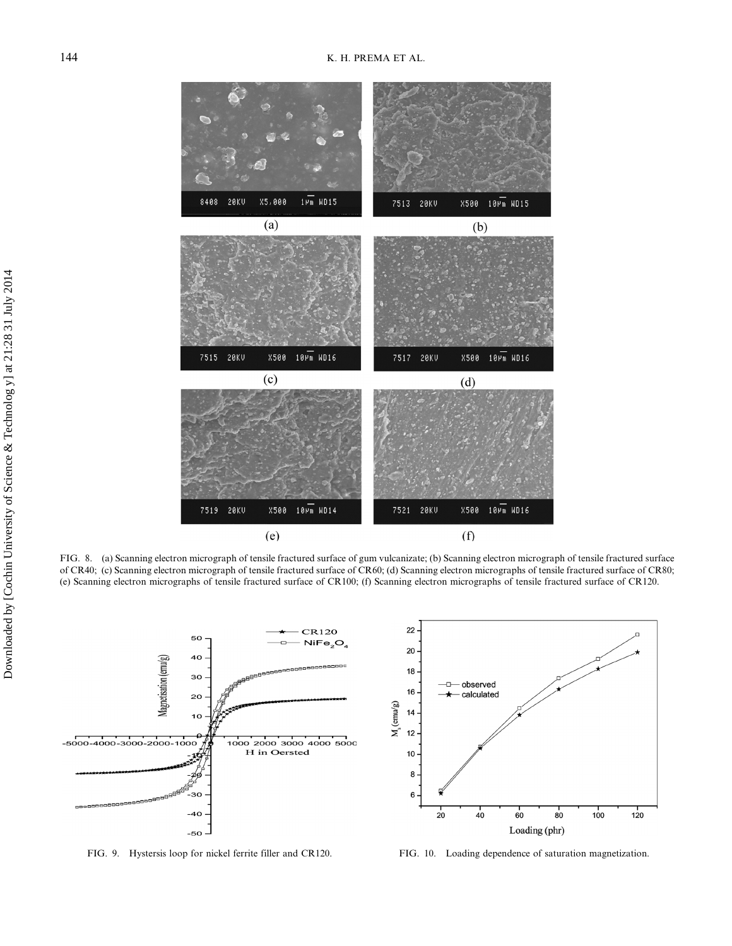

FIG. 8. (a) Scanning electron micrograph of tensile fractured surface of gum vulcanizate; (b) Scanning electron micrograph of tensile fractured surface of CR40; (c) Scanning electron micrograph of tensile fractured surface of CR60; (d) Scanning electron micrographs of tensile fractured surface of CR80; (e) Scanning electron micrographs of tensile fractured surface of CR100; (f) Scanning electron micrographs of tensile fractured surface of CR120.



FIG. 9. Hystersis loop for nickel ferrite filler and CR120.



FIG. 10. Loading dependence of saturation magnetization.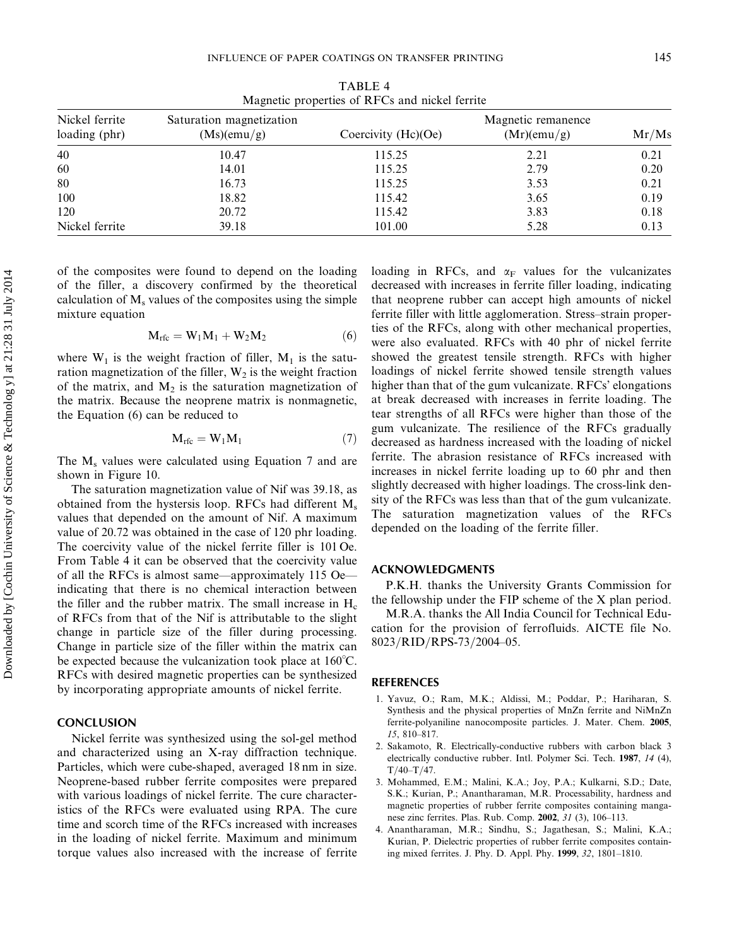| Nickel ferrite<br>loading (phr) | Saturation magnetization<br>(Ms)(emu/g) | Coercivity (Hc)(Oe) | Magnetic remanence<br>(Mr)(emu/g) | Mr/Ms |
|---------------------------------|-----------------------------------------|---------------------|-----------------------------------|-------|
| 40                              | 10.47                                   | 115.25              | 2.21                              | 0.21  |
| 60                              | 14.01                                   | 115.25              | 2.79                              | 0.20  |
| 80                              | 16.73                                   | 115.25              | 3.53                              | 0.21  |
| 100                             | 18.82                                   | 115.42              | 3.65                              | 0.19  |
| 120                             | 20.72                                   | 115.42              | 3.83                              | 0.18  |
| Nickel ferrite                  | 39.18                                   | 101.00              | 5.28                              | 0.13  |

TABLE 4 Magnetic properties of RFCs and nickel ferrite

of the composites were found to depend on the loading of the filler, a discovery confirmed by the theoretical calculation of  $M<sub>s</sub>$  values of the composites using the simple mixture equation

$$
\mathbf{M}_{\rm rfc} = \mathbf{W}_1 \mathbf{M}_1 + \mathbf{W}_2 \mathbf{M}_2 \tag{6}
$$

where  $W_1$  is the weight fraction of filler,  $M_1$  is the saturation magnetization of the filler,  $W_2$  is the weight fraction of the matrix, and  $M_2$  is the saturation magnetization of the matrix. Because the neoprene matrix is nonmagnetic, the Equation (6) can be reduced to

$$
M_{rfc} = W_1 M_1 \tag{7}
$$

The  $M_s$  values were calculated using Equation 7 and are shown in Figure 10.

The saturation magnetization value of Nif was 39.18, as obtained from the hystersis loop. RFCs had different  $M_s$ values that depended on the amount of Nif. A maximum value of 20.72 was obtained in the case of 120 phr loading. The coercivity value of the nickel ferrite filler is 101 Oe. From Table 4 it can be observed that the coercivity value of all the RFCs is almost same—approximately 115 Oe indicating that there is no chemical interaction between the filler and the rubber matrix. The small increase in  $H_c$ of RFCs from that of the Nif is attributable to the slight change in particle size of the filler during processing. Change in particle size of the filler within the matrix can be expected because the vulcanization took place at 160 C. RFCs with desired magnetic properties can be synthesized by incorporating appropriate amounts of nickel ferrite.

## **CONCLUSION**

Nickel ferrite was synthesized using the sol-gel method and characterized using an X-ray diffraction technique. Particles, which were cube-shaped, averaged 18 nm in size. Neoprene-based rubber ferrite composites were prepared with various loadings of nickel ferrite. The cure characteristics of the RFCs were evaluated using RPA. The cure time and scorch time of the RFCs increased with increases in the loading of nickel ferrite. Maximum and minimum torque values also increased with the increase of ferrite loading in RFCs, and  $\alpha_F$  values for the vulcanizates decreased with increases in ferrite filler loading, indicating that neoprene rubber can accept high amounts of nickel ferrite filler with little agglomeration. Stress–strain properties of the RFCs, along with other mechanical properties, were also evaluated. RFCs with 40 phr of nickel ferrite showed the greatest tensile strength. RFCs with higher loadings of nickel ferrite showed tensile strength values higher than that of the gum vulcanizate. RFCs' elongations at break decreased with increases in ferrite loading. The tear strengths of all RFCs were higher than those of the gum vulcanizate. The resilience of the RFCs gradually decreased as hardness increased with the loading of nickel ferrite. The abrasion resistance of RFCs increased with increases in nickel ferrite loading up to 60 phr and then slightly decreased with higher loadings. The cross-link density of the RFCs was less than that of the gum vulcanizate. The saturation magnetization values of the RFCs depended on the loading of the ferrite filler.

#### ACKNOWLEDGMENTS

P.K.H. thanks the University Grants Commission for the fellowship under the FIP scheme of the X plan period.

M.R.A. thanks the All India Council for Technical Education for the provision of ferrofluids. AICTE file No. 8023/RID/RPS-73/2004–05.

#### **REFERENCES**

- 1. Yavuz, O.; Ram, M.K.; Aldissi, M.; Poddar, P.; Hariharan, S. Synthesis and the physical properties of MnZn ferrite and NiMnZn ferrite-polyaniline nanocomposite particles. J. Mater. Chem. 2005, 15, 810–817.
- 2. Sakamoto, R. Electrically-conductive rubbers with carbon black 3 electrically conductive rubber. Intl. Polymer Sci. Tech. 1987, 14 (4),  $T/40-T/47$ .
- 3. Mohammed, E.M.; Malini, K.A.; Joy, P.A.; Kulkarni, S.D.; Date, S.K.; Kurian, P.; Anantharaman, M.R. Processability, hardness and magnetic properties of rubber ferrite composites containing manganese zinc ferrites. Plas. Rub. Comp. 2002, 31 (3), 106–113.
- 4. Anantharaman, M.R.; Sindhu, S.; Jagathesan, S.; Malini, K.A.; Kurian, P. Dielectric properties of rubber ferrite composites containing mixed ferrites. J. Phy. D. Appl. Phy. 1999, 32, 1801–1810.